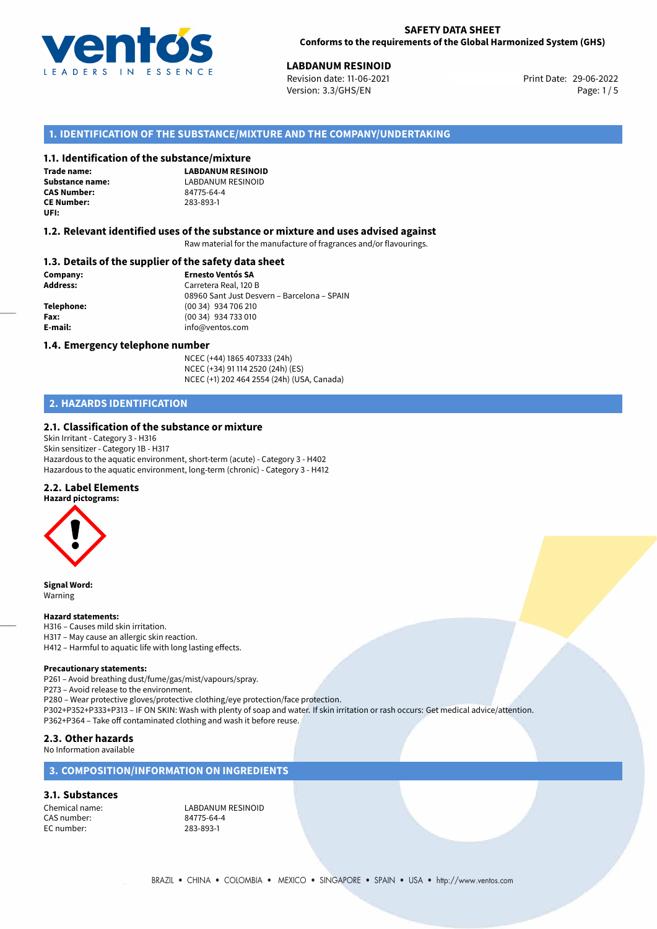

**LABDANUM RESINOID**<br> **Revision date: 11-06-2021** Print Date: 29-06-2022 Version: 3.3/GHS/EN Page: 1/5

# **1. IDENTIFICATION OF THE SUBSTANCE/MIXTURE AND THE COMPANY/UNDERTAKING**

#### **1.1. Identification of the substance/mixture**

**Trade name: CAS Number: CE Number:** 283-893-1 **UFI:**

**LABDANUM RESINOID Substance name:** LABDANUM RESINOID

#### **1.2. Relevant identified uses of the substance or mixture and uses advised against**

Raw material for the manufacture of fragrances and/or flavourings.

#### **1.3. Details of the supplier of the safety data sheet**

**Company: Ernesto Ventós SA Address:** Carretera Real, 120 B 08960 Sant Just Desvern – Barcelona – SPAIN **Telephone:** (00 34) 934 706 210 **Fax:** (00 34) 934 733 010 **E-mail:** info@ventos.com

#### **1.4. Emergency telephone number**

NCEC (+44) 1865 407333 (24h) NCEC (+34) 91 114 2520 (24h) (ES) NCEC (+1) 202 464 2554 (24h) (USA, Canada)

# **2. HAZARDS IDENTIFICATION**

#### **2.1. Classification of the substance or mixture**

Skin Irritant - Category 3 - H316 Skin sensitizer - Category 1B - H317 Hazardous to the aquatic environment, short-term (acute) - Category 3 - H402 Hazardous to the aquatic environment, long-term (chronic) - Category 3 - H412

#### **2.2. Label Elements**



**Signal Word:** Warning

#### **Hazard statements:**

- H316 Causes mild skin irritation.
- H317 May cause an allergic skin reaction.
- H412 Harmful to aquatic life with long lasting effects.

#### **Precautionary statements:**

P261 – Avoid breathing dust/fume/gas/mist/vapours/spray.

P273 – Avoid release to the environment.

- P280 Wear protective gloves/protective clothing/eye protection/face protection.
- P302+P352+P333+P313 IF ON SKIN: Wash with plenty of soap and water. If skin irritation or rash occurs: Get medical advice/attention. P362+P364 – Take off contaminated clothing and wash it before reuse.

### **2.3. Other hazards**

#### No Information available

### **3. COMPOSITION/INFORMATION ON INGREDIENTS**

### **3.1. Substances**

CAS number: EC number: 283-893-1

Chemical name: LABDANUM RESINOID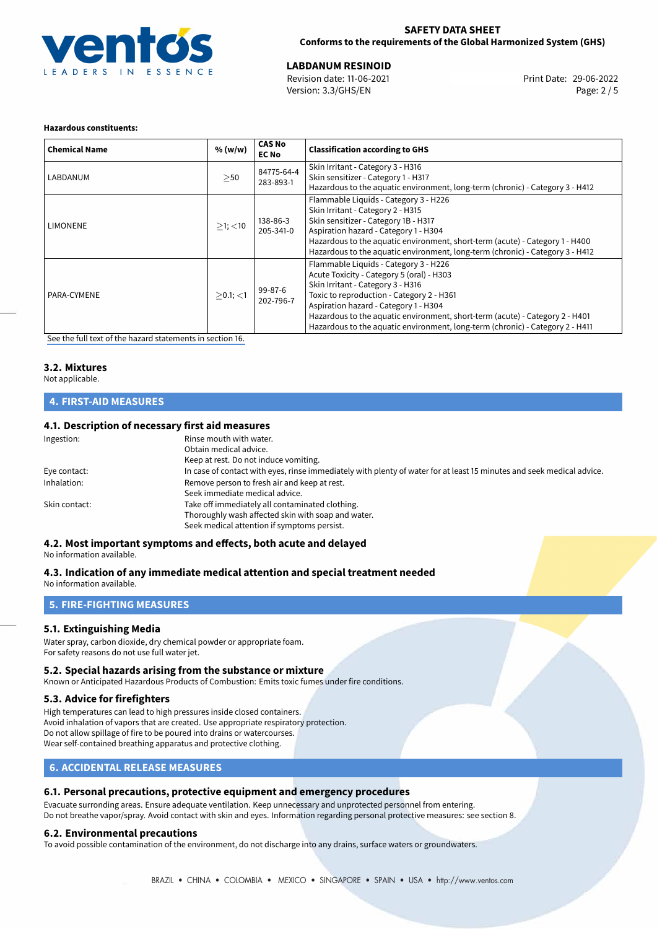

### **SAFETY DATA SHEET Conforms to the requirements of the Global Harmonized System (GHS)**

**LABDANUM RESINOID**<br>
Revision date: 11-06-2021 **Print Date: 29-06-2022** Version: 3.3/GHS/EN Page: 2 / 5

#### **Hazardous constituents:**

| <b>Chemical Name</b> | % (w/w)       | <b>CAS No</b><br><b>EC No</b> | <b>Classification according to GHS</b>                                                                                                                                                                                                                                                                                                                                         |
|----------------------|---------------|-------------------------------|--------------------------------------------------------------------------------------------------------------------------------------------------------------------------------------------------------------------------------------------------------------------------------------------------------------------------------------------------------------------------------|
| LABDANUM             | >50           | 84775-64-4<br>283-893-1       | Skin Irritant - Category 3 - H316<br>Skin sensitizer - Category 1 - H317<br>Hazardous to the aquatic environment, long-term (chronic) - Category 3 - H412                                                                                                                                                                                                                      |
| <b>LIMONENE</b>      | $>1$ ; $<$ 10 | 138-86-3<br>205-341-0         | Flammable Liquids - Category 3 - H226<br>Skin Irritant - Category 2 - H315<br>Skin sensitizer - Category 1B - H317<br>Aspiration hazard - Category 1 - H304<br>Hazardous to the aquatic environment, short-term (acute) - Category 1 - H400<br>Hazardous to the aquatic environment, long-term (chronic) - Category 3 - H412                                                   |
| PARA-CYMENE          | $>0.1$ ; <1   | 99-87-6<br>202-796-7          | Flammable Liquids - Category 3 - H226<br>Acute Toxicity - Category 5 (oral) - H303<br>Skin Irritant - Category 3 - H316<br>Toxic to reproduction - Category 2 - H361<br>Aspiration hazard - Category 1 - H304<br>Hazardous to the aquatic environment, short-term (acute) - Category 2 - H401<br>Hazardous to the aquatic environment, long-term (chronic) - Category 2 - H411 |

[See the full text of the hazard statements in section 16.](#page-4-0)

# **3.2. Mixtures**

Not applicable.

# **4. FIRST-AID MEASURES**

# **4.1. Description of necessary first aid measures**

| Ingestion:    | Rinse mouth with water.<br>Obtain medical advice.<br>Keep at rest. Do not induce vomiting.                                                           |
|---------------|------------------------------------------------------------------------------------------------------------------------------------------------------|
| Eye contact:  | In case of contact with eyes, rinse immediately with plenty of water for at least 15 minutes and seek medical advice.                                |
| Inhalation:   | Remove person to fresh air and keep at rest.<br>Seek immediate medical advice.                                                                       |
| Skin contact: | Take off immediately all contaminated clothing.<br>Thoroughly wash affected skin with soap and water.<br>Seek medical attention if symptoms persist. |

# **4.2. Most important symptoms and effects, both acute and delayed**

No information available.

#### **4.3. Indication of any immediate medical attention and special treatment needed** No information available.

**5. FIRE-FIGHTING MEASURES**

### **5.1. Extinguishing Media**

Water spray, carbon dioxide, dry chemical powder or appropriate foam. For safety reasons do not use full water jet.

### **5.2. Special hazards arising from the substance or mixture**

Known or Anticipated Hazardous Products of Combustion: Emits toxic fumes under fire conditions.

### **5.3. Advice for firefighters**

High temperatures can lead to high pressures inside closed containers. Avoid inhalation of vapors that are created. Use appropriate respiratory protection. Do not allow spillage of fire to be poured into drains or watercourses. Wear self-contained breathing apparatus and protective clothing.

# **6. ACCIDENTAL RELEASE MEASURES**

### **6.1. Personal precautions, protective equipment and emergency procedures**

Evacuate surronding areas. Ensure adequate ventilation. Keep unnecessary and unprotected personnel from entering. Do not breathe vapor/spray. Avoid contact with skin and eyes. Information regarding personal protective measures: see section 8.

### **6.2. Environmental precautions**

To avoid possible contamination of the environment, do not discharge into any drains, surface waters or groundwaters.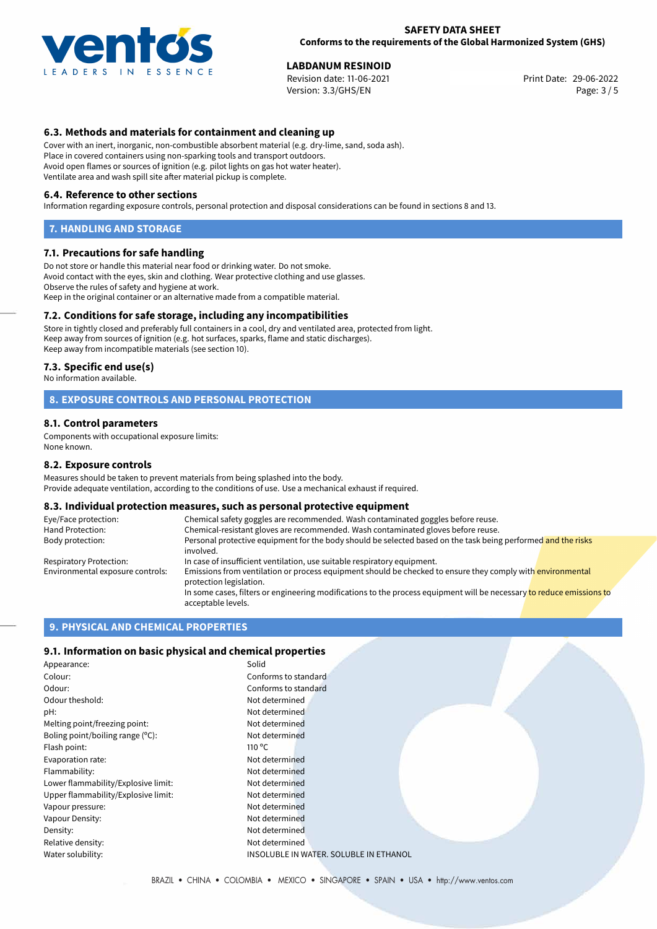

**LABDANUM RESINOID**<br>
Revision date: 11-06-2021 **Print Date: 29-06-2022** Version: 3.3/GHS/EN Page: 3 / 5

## **6.3. Methods and materials for containment and cleaning up**

Cover with an inert, inorganic, non-combustible absorbent material (e.g. dry-lime, sand, soda ash). Place in covered containers using non-sparking tools and transport outdoors. Avoid open flames or sources of ignition (e.g. pilot lights on gas hot water heater). Ventilate area and wash spill site after material pickup is complete.

#### **6.4. Reference to other sections**

Information regarding exposure controls, personal protection and disposal considerations can be found in sections 8 and 13.

#### **7. HANDLING AND STORAGE**

#### **7.1. Precautions for safe handling**

Do not store or handle this material near food or drinking water. Do not smoke. Avoid contact with the eyes, skin and clothing. Wear protective clothing and use glasses. Observe the rules of safety and hygiene at work. Keep in the original container or an alternative made from a compatible material.

### **7.2. Conditions for safe storage, including any incompatibilities**

Store in tightly closed and preferably full containers in a cool, dry and ventilated area, protected from light. Keep away from sources of ignition (e.g. hot surfaces, sparks, flame and static discharges). Keep away from incompatible materials (see section 10).

#### **7.3. Specific end use(s)**

No information available.

### **8. EXPOSURE CONTROLS AND PERSONAL PROTECTION**

#### **8.1. Control parameters**

Components with occupational exposure limits: None known.

#### **8.2. Exposure controls**

Measures should be taken to prevent materials from being splashed into the body. Provide adequate ventilation, according to the conditions of use. Use a mechanical exhaust if required.

# **8.3. Individual protection measures, such as personal protective equipment**

| Eye/Face protection:             | Chemical safety goggles are recommended. Wash contaminated goggles before reuse.                                                            |  |  |  |
|----------------------------------|---------------------------------------------------------------------------------------------------------------------------------------------|--|--|--|
| Hand Protection:                 | Chemical-resistant gloves are recommended. Wash contaminated gloves before reuse.                                                           |  |  |  |
| Body protection:                 | Personal protective equipment for the body should be selected based on the task being performed and the risks<br>involved.                  |  |  |  |
| Respiratory Protection:          | In case of insufficient ventilation, use suitable respiratory equipment.                                                                    |  |  |  |
| Environmental exposure controls: | Emissions from ventilation or process equipment should be checked to ensure they comply with environmental<br>protection legislation.       |  |  |  |
|                                  | In some cases, filters or engineering modifications to the process equipment will be necessary to reduce emissions to<br>acceptable levels. |  |  |  |

# **9. PHYSICAL AND CHEMICAL PROPERTIES**

#### **9.1. Information on basic physical and chemical properties**

| Appearance:                         | Solid                                  |
|-------------------------------------|----------------------------------------|
| Colour:                             | Conforms to standard                   |
| Odour:                              | Conforms to standard                   |
| Odour theshold:                     | Not determined                         |
| pH:                                 | Not determined                         |
| Melting point/freezing point:       | Not determined                         |
| Boling point/boiling range (°C):    | Not determined                         |
| Flash point:                        | 110 $\degree$ C                        |
| Evaporation rate:                   | Not determined                         |
| Flammability:                       | Not determined                         |
| Lower flammability/Explosive limit: | Not determined                         |
| Upper flammability/Explosive limit: | Not determined                         |
| Vapour pressure:                    | Not determined                         |
| Vapour Density:                     | Not determined                         |
| Density:                            | Not determined                         |
| Relative density:                   | Not determined                         |
| Water solubility:                   | INSOLUBLE IN WATER. SOLUBLE IN ETHANOL |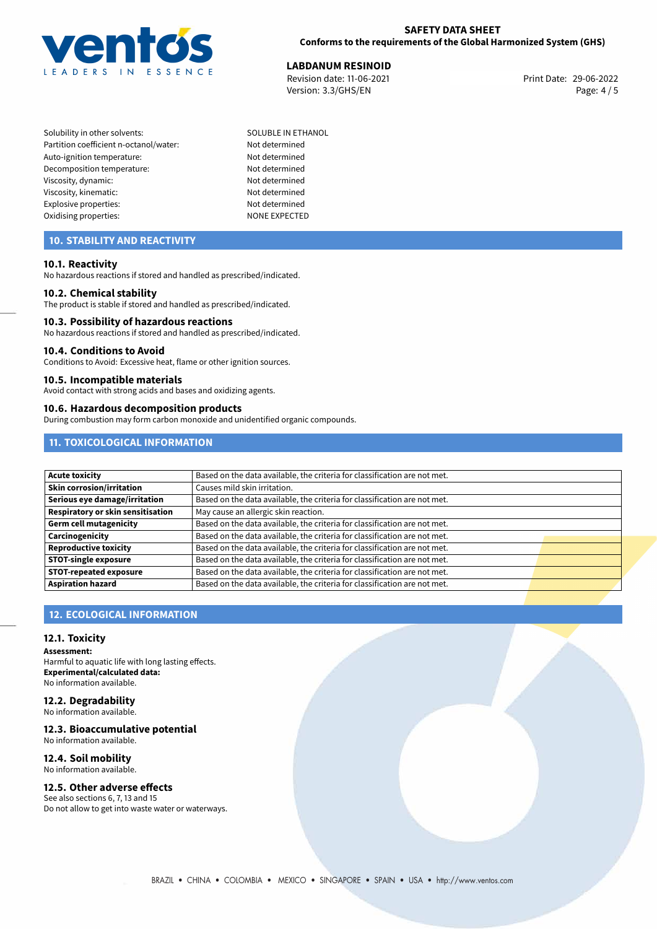

**LABDANUM RESINOID**<br>
Revision date: 11-06-2021 **Print Date: 29-06-2022** Version: 3.3/GHS/EN Page: 4 / 5

- Solubility in other solvents: SOLUBLE IN ETHANOL Partition coefficient n-octanol/water: Not determined Auto-ignition temperature: Not determined Decomposition temperature: Not determined Viscosity, dynamic: Not determined Viscosity, kinematic: Not determined Explosive properties: Not determined Oxidising properties: NONE EXPECTED
	-

# **10. STABILITY AND REACTIVITY**

#### **10.1. Reactivity**

No hazardous reactions if stored and handled as prescribed/indicated.

#### **10.2. Chemical stability**

The product is stable if stored and handled as prescribed/indicated.

#### **10.3. Possibility of hazardous reactions**

No hazardous reactions if stored and handled as prescribed/indicated.

#### **10.4. Conditions to Avoid**

Conditions to Avoid: Excessive heat, flame or other ignition sources.

#### **10.5. Incompatible materials**

Avoid contact with strong acids and bases and oxidizing agents.

#### **10.6. Hazardous decomposition products**

During combustion may form carbon monoxide and unidentified organic compounds.

# **11. TOXICOLOGICAL INFORMATION**

| Acute toxicity                    | Based on the data available, the criteria for classification are not met. |  |
|-----------------------------------|---------------------------------------------------------------------------|--|
| <b>Skin corrosion/irritation</b>  | Causes mild skin irritation.                                              |  |
| Serious eye damage/irritation     | Based on the data available, the criteria for classification are not met. |  |
| Respiratory or skin sensitisation | May cause an allergic skin reaction.                                      |  |
| Germ cell mutagenicity            | Based on the data available, the criteria for classification are not met. |  |
| <b>Carcinogenicity</b>            | Based on the data available, the criteria for classification are not met. |  |
| Reproductive toxicity             | Based on the data available, the criteria for classification are not met. |  |
| <b>STOT-single exposure</b>       | Based on the data available, the criteria for classification are not met. |  |
| <b>STOT-repeated exposure</b>     | Based on the data available, the criteria for classification are not met. |  |
| Aspiration hazard                 | Based on the data available, the criteria for classification are not met. |  |

# **12. ECOLOGICAL INFORMATION**

#### **12.1. Toxicity**

**Assessment:** Harmful to aquatic life with long lasting effects. **Experimental/calculated data:** No information available.

# **12.2. Degradability**

No information available.

# **12.3. Bioaccumulative potential**

No information available.

#### **12.4. Soil mobility** No information available.

# **12.5. Other adverse effects**

See also sections 6, 7, 13 and 15 Do not allow to get into waste water or waterways.